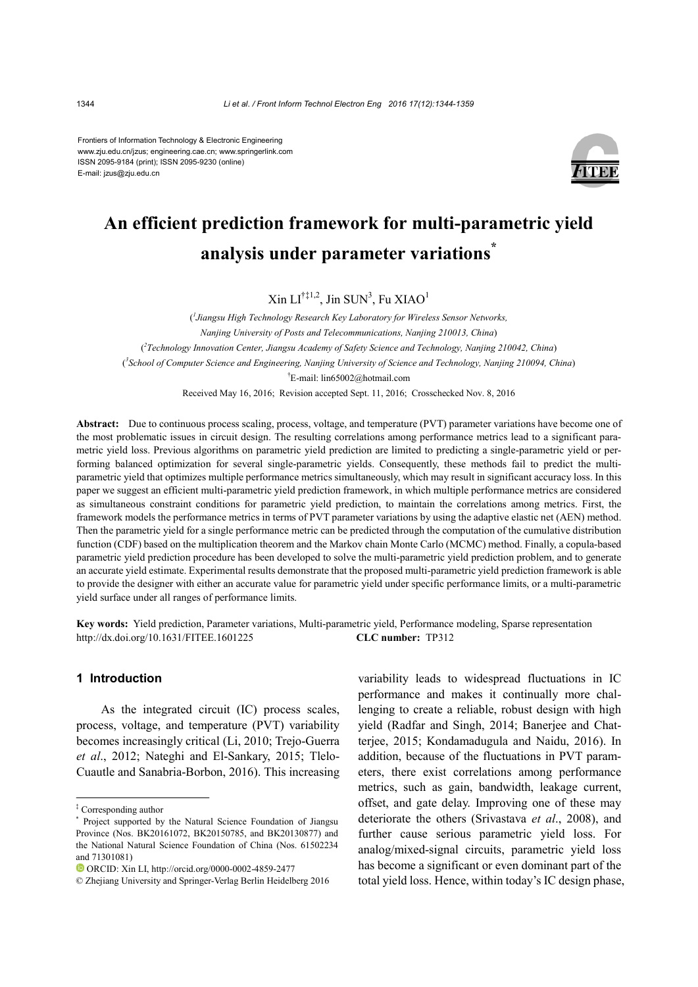Frontiers of Information Technology & Electronic Engineering www.zju.edu.cn/jzus; engineering.cae.cn; www.springerlink.com ISSN 2095-9184 (print); ISSN 2095-9230 (online) E-mail: jzus@zju.edu.cn



# **An efficient prediction framework for multi-parametric yield analysis under parameter variations\***

 $\mathrm{X}$ in LI $^{\dagger\ddagger 1,2}$ , Jin SUN<sup>3</sup>, Fu XIAO<sup>1</sup>

( *1 Jiangsu High Technology Research Key Laboratory for Wireless Sensor Networks, Nanjing University of Posts and Telecommunications, Nanjing 210013, China*) ( *2 Technology Innovation Center, Jiangsu Academy of Safety Science and Technology, Nanjing 210042, China*) ( *3 School of Computer Science and Engineering, Nanjing University of Science and Technology, Nanjing 210094, China*) † E-mail: lin65002@hotmail.com

Received May 16, 2016; Revision accepted Sept. 11, 2016; Crosschecked Nov. 8, 2016

**Abstract:** Due to continuous process scaling, process, voltage, and temperature (PVT) parameter variations have become one of the most problematic issues in circuit design. The resulting correlations among performance metrics lead to a significant parametric yield loss. Previous algorithms on parametric yield prediction are limited to predicting a single-parametric yield or performing balanced optimization for several single-parametric yields. Consequently, these methods fail to predict the multiparametric yield that optimizes multiple performance metrics simultaneously, which may result in significant accuracy loss. In this paper we suggest an efficient multi-parametric yield prediction framework, in which multiple performance metrics are considered as simultaneous constraint conditions for parametric yield prediction, to maintain the correlations among metrics. First, the framework models the performance metrics in terms of PVT parameter variations by using the adaptive elastic net (AEN) method. Then the parametric yield for a single performance metric can be predicted through the computation of the cumulative distribution function (CDF) based on the multiplication theorem and the Markov chain Monte Carlo (MCMC) method. Finally, a copula-based parametric yield prediction procedure has been developed to solve the multi-parametric yield prediction problem, and to generate an accurate yield estimate. Experimental results demonstrate that the proposed multi-parametric yield prediction framework is able to provide the designer with either an accurate value for parametric yield under specific performance limits, or a multi-parametric yield surface under all ranges of performance limits.

**Key words:** Yield prediction, Parameter variations, Multi-parametric yield, Performance modeling, Sparse representation http://dx.doi.org/10.1631/FITEE.1601225 **CLC number:** TP312

## **1 Introduction**

As the integrated circuit (IC) process scales, process, voltage, and temperature (PVT) variability becomes increasingly critical (Li, 2010; Trejo-Guerra *et al*., 2012; Nateghi and El-Sankary, 2015; Tlelo-Cuautle and Sanabria-Borbon, 2016). This increasing

variability leads to widespread fluctuations in IC performance and makes it continually more challenging to create a reliable, robust design with high yield (Radfar and Singh, 2014; Banerjee and Chatterjee, 2015; Kondamadugula and Naidu, 2016). In addition, because of the fluctuations in PVT parameters, there exist correlations among performance metrics, such as gain, bandwidth, leakage current, offset, and gate delay. Improving one of these may deteriorate the others (Srivastava *et al*., 2008), and further cause serious parametric yield loss. For analog/mixed-signal circuits, parametric yield loss has become a significant or even dominant part of the total yield loss. Hence, within today's IC design phase,

<sup>‡</sup> Corresponding author

Project supported by the Natural Science Foundation of Jiangsu Province (Nos. BK20161072, BK20150785, and BK20130877) and the National Natural Science Foundation of China (Nos. 61502234 and 71301081)

ORCID: Xin LI[, http://orcid.org/0](http://orcid.org/0000-0002-6574-1542)000-0002-4859-2477

<sup>©</sup> Zhejiang University and Springer-Verlag Berlin Heidelberg 2016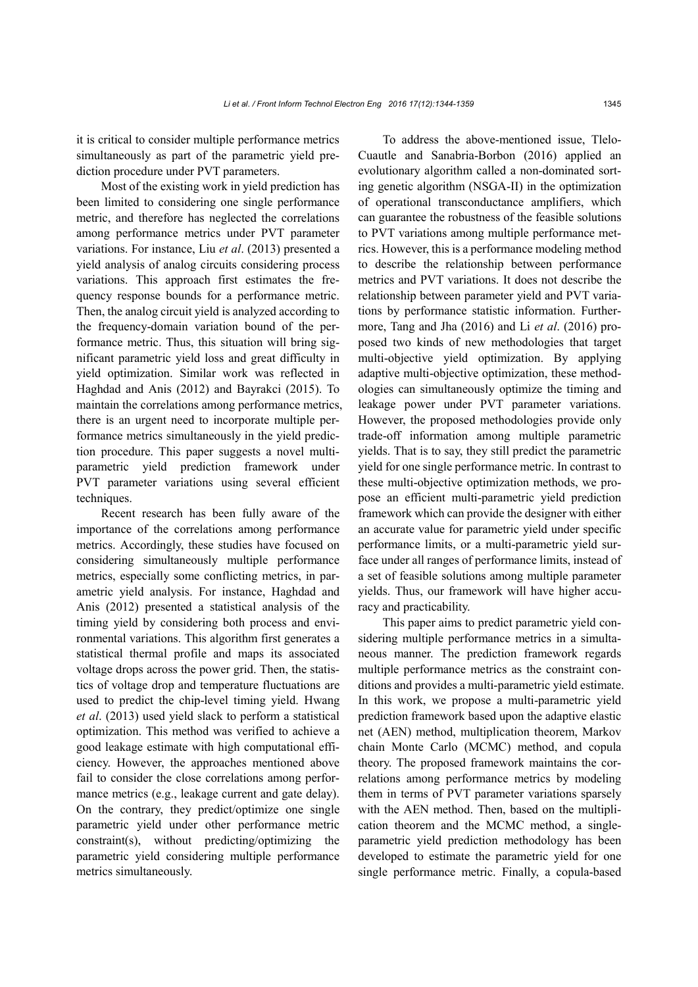it is critical to consider multiple performance metrics simultaneously as part of the parametric yield prediction procedure under PVT parameters.

Most of the existing work in yield prediction has been limited to considering one single performance metric, and therefore has neglected the correlations among performance metrics under PVT parameter variations. For instance, Liu *et al*. (2013) presented a yield analysis of analog circuits considering process variations. This approach first estimates the frequency response bounds for a performance metric. Then, the analog circuit yield is analyzed according to the frequency-domain variation bound of the performance metric. Thus, this situation will bring significant parametric yield loss and great difficulty in yield optimization. Similar work was reflected in Haghdad and Anis (2012) and Bayrakci (2015). To maintain the correlations among performance metrics, there is an urgent need to incorporate multiple performance metrics simultaneously in the yield prediction procedure. This paper suggests a novel multiparametric yield prediction framework under PVT parameter variations using several efficient techniques.

Recent research has been fully aware of the importance of the correlations among performance metrics. Accordingly, these studies have focused on considering simultaneously multiple performance metrics, especially some conflicting metrics, in parametric yield analysis. For instance, Haghdad and Anis (2012) presented a statistical analysis of the timing yield by considering both process and environmental variations. This algorithm first generates a statistical thermal profile and maps its associated voltage drops across the power grid. Then, the statistics of voltage drop and temperature fluctuations are used to predict the chip-level timing yield. Hwang *et al*. (2013) used yield slack to perform a statistical optimization. This method was verified to achieve a good leakage estimate with high computational efficiency. However, the approaches mentioned above fail to consider the close correlations among performance metrics (e.g., leakage current and gate delay). On the contrary, they predict/optimize one single parametric yield under other performance metric constraint(s), without predicting/optimizing the parametric yield considering multiple performance metrics simultaneously.

To address the above-mentioned issue, Tlelo-Cuautle and Sanabria-Borbon (2016) applied an evolutionary algorithm called a non-dominated sorting genetic algorithm (NSGA-II) in the optimization of operational transconductance amplifiers, which can guarantee the robustness of the feasible solutions to PVT variations among multiple performance metrics. However, this is a performance modeling method to describe the relationship between performance metrics and PVT variations. It does not describe the relationship between parameter yield and PVT variations by performance statistic information. Furthermore, Tang and Jha (2016) and Li *et al*. (2016) proposed two kinds of new methodologies that target multi-objective yield optimization. By applying adaptive multi-objective optimization, these methodologies can simultaneously optimize the timing and leakage power under PVT parameter variations. However, the proposed methodologies provide only trade-off information among multiple parametric yields. That is to say, they still predict the parametric yield for one single performance metric. In contrast to these multi-objective optimization methods, we propose an efficient multi-parametric yield prediction framework which can provide the designer with either an accurate value for parametric yield under specific performance limits, or a multi-parametric yield surface under all ranges of performance limits, instead of a set of feasible solutions among multiple parameter yields. Thus, our framework will have higher accuracy and practicability.

This paper aims to predict parametric yield considering multiple performance metrics in a simultaneous manner. The prediction framework regards multiple performance metrics as the constraint conditions and provides a multi-parametric yield estimate. In this work, we propose a multi-parametric yield prediction framework based upon the adaptive elastic net (AEN) method, multiplication theorem, Markov chain Monte Carlo (MCMC) method, and copula theory. The proposed framework maintains the correlations among performance metrics by modeling them in terms of PVT parameter variations sparsely with the AEN method. Then, based on the multiplication theorem and the MCMC method, a singleparametric yield prediction methodology has been developed to estimate the parametric yield for one single performance metric. Finally, a copula-based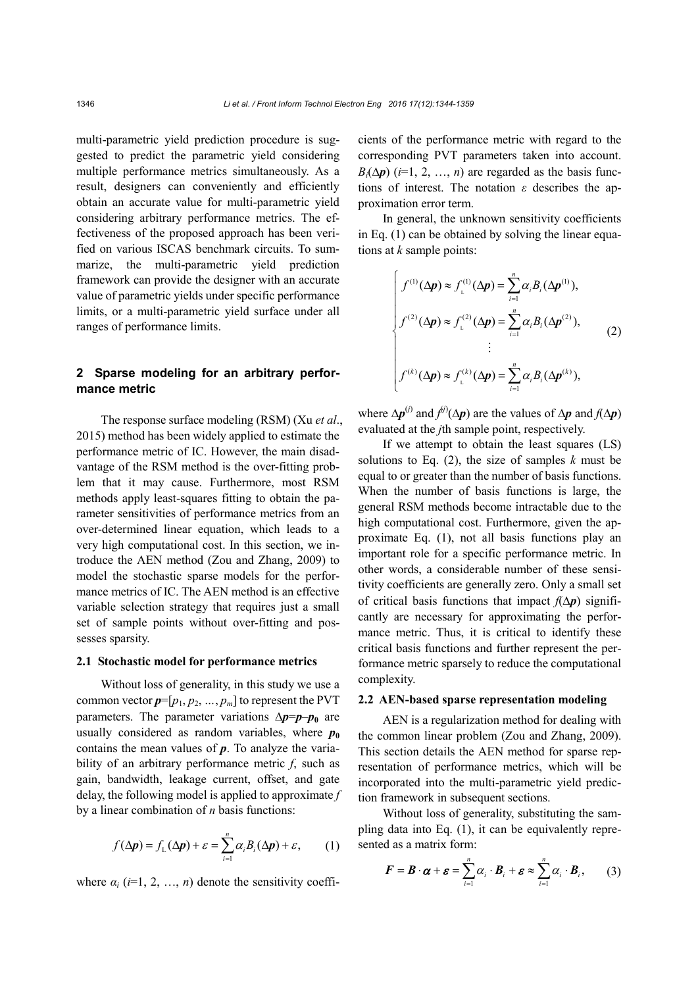multi-parametric yield prediction procedure is suggested to predict the parametric yield considering multiple performance metrics simultaneously. As a result, designers can conveniently and efficiently obtain an accurate value for multi-parametric yield considering arbitrary performance metrics. The effectiveness of the proposed approach has been verified on various ISCAS benchmark circuits. To summarize, the multi-parametric yield prediction framework can provide the designer with an accurate value of parametric yields under specific performance limits, or a multi-parametric yield surface under all ranges of performance limits.

# **2 Sparse modeling for an arbitrary performance metric**

The response surface modeling (RSM) (Xu *et al*., 2015) method has been widely applied to estimate the performance metric of IC. However, the main disadvantage of the RSM method is the over-fitting problem that it may cause. Furthermore, most RSM methods apply least-squares fitting to obtain the parameter sensitivities of performance metrics from an over-determined linear equation, which leads to a very high computational cost. In this section, we introduce the AEN method (Zou and Zhang, 2009) to model the stochastic sparse models for the performance metrics of IC. The AEN method is an effective variable selection strategy that requires just a small set of sample points without over-fitting and possesses sparsity.

### **2.1 Stochastic model for performance metrics**

Without loss of generality, in this study we use a common vector  $p=[p_1, p_2, ..., p_m]$  to represent the PVT parameters. The parameter variations ∆*p*=*p–p***<sup>0</sup>** are usually considered as random variables, where  $p_0$ contains the mean values of *p*. To analyze the variability of an arbitrary performance metric *f*, such as gain, bandwidth, leakage current, offset, and gate delay, the following model is applied to approximate *f* by a linear combination of *n* basis functions:

$$
f(\Delta p) = f_{\mathcal{L}}(\Delta p) + \varepsilon = \sum_{i=1}^{n} \alpha_{i} B_{i}(\Delta p) + \varepsilon, \qquad (1)
$$

where  $\alpha_i$  ( $i=1, 2, ..., n$ ) denote the sensitivity coeffi-

cients of the performance metric with regard to the corresponding PVT parameters taken into account.  $B_i(\Delta p)$  (*i*=1, 2, ..., *n*) are regarded as the basis functions of interest. The notation *ε* describes the approximation error term.

In general, the unknown sensitivity coefficients in Eq. (1) can be obtained by solving the linear equations at *k* sample points:

$$
\begin{cases}\nf^{(1)}(\Delta p) \approx f_{L}^{(1)}(\Delta p) = \sum_{i=1}^{n} \alpha_{i} B_{i}(\Delta p^{(1)}), \\
f^{(2)}(\Delta p) \approx f_{L}^{(2)}(\Delta p) = \sum_{i=1}^{n} \alpha_{i} B_{i}(\Delta p^{(2)}), \\
\vdots \\
f^{(k)}(\Delta p) \approx f_{L}^{(k)}(\Delta p) = \sum_{i=1}^{n} \alpha_{i} B_{i}(\Delta p^{(k)}),\n\end{cases}
$$
\n(2)

where  $\Delta p^{(j)}$  and  $f^{(j)}(\Delta p)$  are the values of  $\Delta p$  and  $f(\Delta p)$ evaluated at the *j*th sample point, respectively.

If we attempt to obtain the least squares (LS) solutions to Eq.  $(2)$ , the size of samples  $k$  must be equal to or greater than the number of basis functions. When the number of basis functions is large, the general RSM methods become intractable due to the high computational cost. Furthermore, given the approximate Eq. (1), not all basis functions play an important role for a specific performance metric. In other words, a considerable number of these sensitivity coefficients are generally zero. Only a small set of critical basis functions that impact *f*(∆*p*) significantly are necessary for approximating the performance metric. Thus, it is critical to identify these critical basis functions and further represent the performance metric sparsely to reduce the computational complexity.

#### **2.2 AEN-based sparse representation modeling**

AEN is a regularization method for dealing with the common linear problem (Zou and Zhang, 2009). This section details the AEN method for sparse representation of performance metrics, which will be incorporated into the multi-parametric yield prediction framework in subsequent sections.

Without loss of generality, substituting the sampling data into Eq. (1), it can be equivalently represented as a matrix form:

$$
\boldsymbol{F} = \boldsymbol{B} \cdot \boldsymbol{\alpha} + \boldsymbol{\varepsilon} = \sum_{i=1}^{n} \alpha_i \cdot \boldsymbol{B}_i + \boldsymbol{\varepsilon} \approx \sum_{i=1}^{n} \alpha_i \cdot \boldsymbol{B}_i, \qquad (3)
$$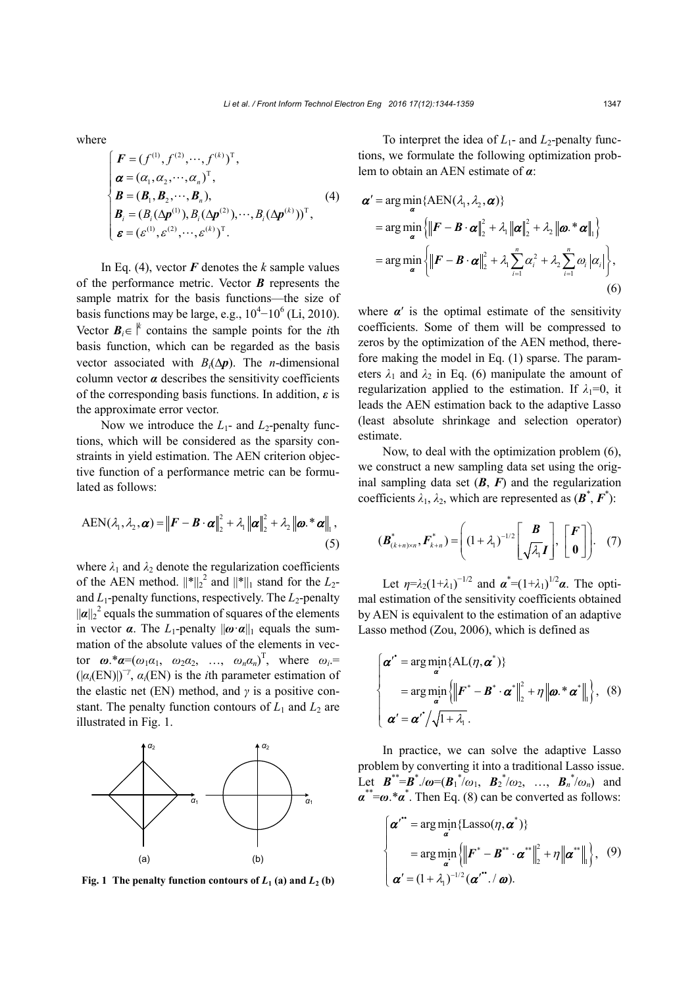where

$$
\begin{cases}\n\boldsymbol{F} = (f^{(1)}, f^{(2)}, \cdots, f^{(k)})^{\mathrm{T}}, \\
\boldsymbol{\alpha} = (\alpha_1, \alpha_2, \cdots, \alpha_n)^{\mathrm{T}}, \\
\boldsymbol{B} = (\boldsymbol{B}_1, \boldsymbol{B}_2, \cdots, \boldsymbol{B}_n), \\
\boldsymbol{B}_i = (B_i (\Delta \boldsymbol{p}^{(1)}), B_i (\Delta \boldsymbol{p}^{(2)}), \cdots, B_i (\Delta \boldsymbol{p}^{(k)}))^{\mathrm{T}}, \\
\boldsymbol{\varepsilon} = (\varepsilon^{(1)}, \varepsilon^{(2)}, \cdots, \varepsilon^{(k)})^{\mathrm{T}}.\n\end{cases} (4)
$$

In Eq. (4), vector  $\vec{F}$  denotes the  $k$  sample values of the performance metric. Vector *B* represents the sample matrix for the basis functions—the size of basis functions may be large, e.g.,  $10^4 - 10^6$  (Li, 2010). Vector  $B_i \in \mathcal{F}$  contains the sample points for the *i*th basis function, which can be regarded as the basis vector associated with *Bi*(∆*p*). The *n*-dimensional column vector *α* describes the sensitivity coefficients of the corresponding basis functions. In addition, *ε* is the approximate error vector.

Now we introduce the  $L_1$ - and  $L_2$ -penalty functions, which will be considered as the sparsity constraints in yield estimation. The AEN criterion objective function of a performance metric can be formulated as follows:

$$
\text{AEN}(\lambda_1, \lambda_2, \boldsymbol{\alpha}) = \left\| \boldsymbol{F} - \boldsymbol{B} \cdot \boldsymbol{\alpha} \right\|_2^2 + \lambda_1 \left\| \boldsymbol{\alpha} \right\|_2^2 + \lambda_2 \left\| \boldsymbol{\alpha} \cdot \boldsymbol{\alpha} \right\|_1, \tag{5}
$$

where  $\lambda_1$  and  $\lambda_2$  denote the regularization coefficients of the AEN method.  $\|\cdot\|_2^2$  and  $\|\cdot\|_1$  stand for the  $L_2$ and  $L_1$ -penalty functions, respectively. The  $L_2$ -penalty  $||\alpha||_2^2$  equals the summation of squares of the elements in vector  $\alpha$ . The *L*<sub>1</sub>-penalty  $\|\boldsymbol{\omega}\cdot\boldsymbol{\alpha}\|_1$  equals the summation of the absolute values of the elements in vector  $\boldsymbol{\omega}$ .\* $\boldsymbol{\alpha}$ = $(\omega_1\alpha_1, \omega_2\alpha_2, \dots, \omega_n\alpha_n)^T$ , where  $\omega_i$ =  $(|\alpha_i(EN)|)^{-\gamma}$ ,  $\alpha_i(EN)$  is the *i*th parameter estimation of the elastic net (EN) method, and *γ* is a positive constant. The penalty function contours of  $L_1$  and  $L_2$  are illustrated in Fig. 1.



**Fig. 1** The penalty function contours of  $L_1$  (a) and  $L_2$  (b)

To interpret the idea of  $L_1$ - and  $L_2$ -penalty functions, we formulate the following optimization problem to obtain an AEN estimate of *α*:

$$
\boldsymbol{\alpha}' = \arg\min_{\boldsymbol{\alpha}} \{ AEN(\lambda_1, \lambda_2, \boldsymbol{\alpha}) \}
$$
  
= 
$$
\arg\min_{\boldsymbol{\alpha}} \left\{ \|\boldsymbol{F} - \boldsymbol{B} \cdot \boldsymbol{\alpha}\|_2^2 + \lambda_1 \|\boldsymbol{\alpha}\|_2^2 + \lambda_2 \|\boldsymbol{\omega} \cdot \boldsymbol{\alpha}\|_1 \right\}
$$
  
= 
$$
\arg\min_{\boldsymbol{\alpha}} \left\{ \|\boldsymbol{F} - \boldsymbol{B} \cdot \boldsymbol{\alpha}\|_2^2 + \lambda_1 \sum_{i=1}^n \alpha_i^2 + \lambda_2 \sum_{i=1}^n \omega_i |\alpha_i| \right\},
$$
  
(6)

where  $\alpha'$  is the optimal estimate of the sensitivity coefficients. Some of them will be compressed to zeros by the optimization of the AEN method, therefore making the model in Eq. (1) sparse. The parameters  $\lambda_1$  and  $\lambda_2$  in Eq. (6) manipulate the amount of regularization applied to the estimation. If  $\lambda_1=0$ , it leads the AEN estimation back to the adaptive Lasso (least absolute shrinkage and selection operator) estimate.

Now, to deal with the optimization problem (6), we construct a new sampling data set using the original sampling data set  $(B, F)$  and the regularization coefficients  $\lambda_1$ ,  $\lambda_2$ , which are represented as  $(B^*, F^*)$ :

$$
(\boldsymbol{B}_{(k+n)\times n}^*, \boldsymbol{F}_{k+n}^*) = \left( (1+\lambda_1)^{-1/2} \begin{bmatrix} \boldsymbol{B} \\ \sqrt{\lambda_1} \boldsymbol{I} \end{bmatrix}, \begin{bmatrix} \boldsymbol{F} \\ \boldsymbol{0} \end{bmatrix} \right). \quad (7)
$$

Let  $\eta = \lambda_2 (1 + \lambda_1)^{-1/2}$  and  $\alpha^* = (1 + \lambda_1)^{1/2} \alpha$ . The optimal estimation of the sensitivity coefficients obtained by AEN is equivalent to the estimation of an adaptive Lasso method (Zou, 2006), which is defined as

$$
\begin{cases}\n\boldsymbol{\alpha'}^{\star} = \arg\min_{\boldsymbol{\alpha}} \{ A L(\eta, \boldsymbol{\alpha}^{\star}) \} \\
= \arg\min_{\boldsymbol{\alpha'}} \left\{ \left\| \boldsymbol{F}^* - \boldsymbol{B}^* \cdot \boldsymbol{\alpha}^* \right\|_2^2 + \eta \left\| \boldsymbol{\omega}^* \boldsymbol{\alpha}^* \right\|_1^2 \right\}, \quad (8) \\
\boldsymbol{\alpha'} = \boldsymbol{\alpha'}^{\star} / \sqrt{1 + \lambda_1} \,.\n\end{cases}
$$

In practice, we can solve the adaptive Lasso problem by converting it into a traditional Lasso issue. Let  $\mathbf{B}^{**} = \mathbf{B}^{*}/\omega = (\mathbf{B}_1^{*}/\omega_1, \mathbf{B}_2^{*}/\omega_2, \dots, \mathbf{B}_n^{*}/\omega_n)$  and *α*\*\*=*ω*.\**α*\* . Then Eq. (8) can be converted as follows:

$$
\begin{cases}\n\boldsymbol{\alpha'}^* = \arg\min_{\boldsymbol{\alpha}} \{ \text{Lasso}(\boldsymbol{\eta}, \boldsymbol{\alpha}^*) \} \\
= \arg\min_{\boldsymbol{\alpha}} \{ \|\boldsymbol{F}^* - \boldsymbol{B}^{**} \cdot \boldsymbol{\alpha}^{**} \|_2^2 + \eta \|\boldsymbol{\alpha}^{**}\|_1 \}, \quad (9) \\
\boldsymbol{\alpha'} = (1 + \lambda_1)^{-1/2} (\boldsymbol{\alpha'}^* \cdot \boldsymbol{\beta}).\n\end{cases}
$$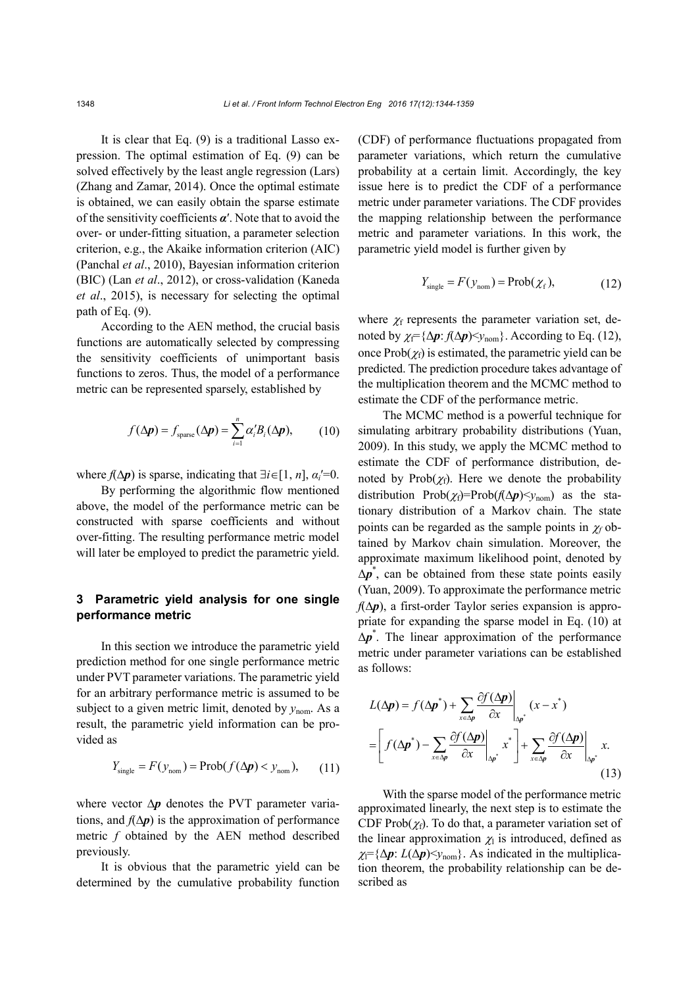It is clear that Eq. (9) is a traditional Lasso expression. The optimal estimation of Eq. (9) can be solved effectively by the least angle regression (Lars) (Zhang and Zamar, 2014). Once the optimal estimate is obtained, we can easily obtain the sparse estimate of the sensitivity coefficients *α*′. Note that to avoid the over- or under-fitting situation, a parameter selection criterion, e.g., the Akaike information criterion (AIC) (Panchal *et al*., 2010), Bayesian information criterion (BIC) (Lan *et al*., 2012), or cross-validation (Kaneda *et al*., 2015), is necessary for selecting the optimal path of Eq. (9).

According to the AEN method, the crucial basis functions are automatically selected by compressing the sensitivity coefficients of unimportant basis functions to zeros. Thus, the model of a performance metric can be represented sparsely, established by

$$
f(\Delta p) = f_{\text{sparse}}(\Delta p) = \sum_{i=1}^{n} \alpha_i' B_i(\Delta p), \quad (10)
$$

where  $f(\Delta p)$  is sparse, indicating that  $\exists i \in [1, n]$ ,  $\alpha_i' = 0$ .

By performing the algorithmic flow mentioned above, the model of the performance metric can be constructed with sparse coefficients and without over-fitting. The resulting performance metric model will later be employed to predict the parametric yield.

# **3 Parametric yield analysis for one single performance metric**

In this section we introduce the parametric yield prediction method for one single performance metric under PVT parameter variations. The parametric yield for an arbitrary performance metric is assumed to be subject to a given metric limit, denoted by  $y_{\text{nom}}$ . As a result, the parametric yield information can be provided as

$$
Y_{\text{single}} = F(y_{\text{nom}}) = \text{Prob}(f(\Delta p) < y_{\text{nom}}), \tag{11}
$$

where vector  $\Delta p$  denotes the PVT parameter variations, and  $f(\Delta p)$  is the approximation of performance metric *f* obtained by the AEN method described previously.

It is obvious that the parametric yield can be determined by the cumulative probability function (CDF) of performance fluctuations propagated from parameter variations, which return the cumulative probability at a certain limit. Accordingly, the key issue here is to predict the CDF of a performance metric under parameter variations. The CDF provides the mapping relationship between the performance metric and parameter variations. In this work, the parametric yield model is further given by

$$
Y_{\text{single}} = F(y_{\text{nom}}) = \text{Prob}(\chi_{\text{f}}), \tag{12}
$$

where  $\chi_f$  represents the parameter variation set, denoted by  $\chi_f = {\Delta p : f(\Delta p) \leq y_{\text{nom}}}$ . According to Eq. (12), once  $\text{Prob}(\chi_f)$  is estimated, the parametric yield can be predicted. The prediction procedure takes advantage of the multiplication theorem and the MCMC method to estimate the CDF of the performance metric.

The MCMC method is a powerful technique for simulating arbitrary probability distributions (Yuan, 2009). In this study, we apply the MCMC method to estimate the CDF of performance distribution, denoted by  $Prob(\chi_f)$ . Here we denote the probability distribution Prob( $\chi_f$ )=Prob( $f(\Delta p) \le y_{\text{nom}}$ ) as the stationary distribution of a Markov chain. The state points can be regarded as the sample points in  $\chi_f$  obtained by Markov chain simulation. Moreover, the approximate maximum likelihood point, denoted by  $\Delta p^*$ , can be obtained from these state points easily (Yuan, 2009). To approximate the performance metric *f*(∆*p*), a first-order Taylor series expansion is appropriate for expanding the sparse model in Eq. (10) at  $\Delta p^*$ . The linear approximation of the performance metric under parameter variations can be established as follows:

$$
L(\Delta p) = f(\Delta p^*) + \sum_{x \in \Delta p} \frac{\partial f(\Delta p)}{\partial x} \bigg|_{\Delta p^*} (x - x^*)
$$
  
=  $\left[ f(\Delta p^*) - \sum_{x \in \Delta p} \frac{\partial f(\Delta p)}{\partial x} \bigg|_{\Delta p^*} x^* \right] + \sum_{x \in \Delta p} \frac{\partial f(\Delta p)}{\partial x} \bigg|_{\Delta p^*} x.$  (13)

With the sparse model of the performance metric approximated linearly, the next step is to estimate the CDF Prob $(\chi_f)$ . To do that, a parameter variation set of the linear approximation  $\chi$  is introduced, defined as  $\chi = {\Delta p : L(\Delta p) \lt_{\gamma_{\text{nom}}}$ . As indicated in the multiplication theorem, the probability relationship can be described as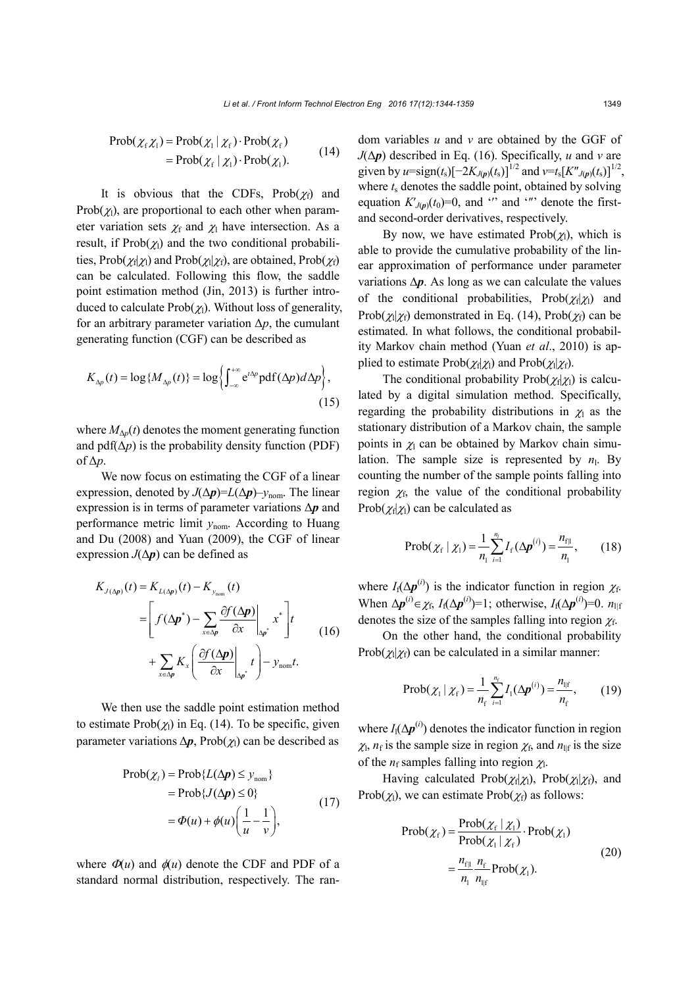$$
\text{Prob}(\chi_{f}\chi_{i}) = \text{Prob}(\chi_{i} | \chi_{f}) \cdot \text{Prob}(\chi_{f})
$$
  
= 
$$
\text{Prob}(\chi_{f} | \chi_{i}) \cdot \text{Prob}(\chi_{i}). \tag{14}
$$

It is obvious that the CDFs,  $Prob(\chi_f)$  and Prob $(\chi_1)$ , are proportional to each other when parameter variation sets  $\chi_f$  and  $\chi_l$  have intersection. As a result, if  $Prob(\chi)$  and the two conditional probabilities, Prob( $\chi_f$ | $\chi_l$ ) and Prob( $\chi_l$ | $\chi_f$ ), are obtained, Prob( $\chi_f$ ) can be calculated. Following this flow, the saddle point estimation method (Jin, 2013) is further introduced to calculate  $Prob(\chi)$ . Without loss of generality, for an arbitrary parameter variation Δ*p*, the cumulant generating function (CGF) can be described as

$$
K_{\Delta p}(t) = \log \{M_{\Delta p}(t)\} = \log \left\{ \int_{-\infty}^{+\infty} e^{t\Delta p} p df(\Delta p) d\Delta p \right\},\tag{15}
$$

where  $M_{\Delta p}(t)$  denotes the moment generating function and pdf $(\Delta p)$  is the probability density function (PDF) of Δ*p*.

We now focus on estimating the CGF of a linear expression, denoted by  $J(\Delta p)=L(\Delta p)-y_{\text{nom}}$ . The linear expression is in terms of parameter variations Δ*p* and performance metric limit *y*<sub>nom</sub>. According to Huang and Du (2008) and Yuan (2009), the CGF of linear expression *J*(Δ*p*) can be defined as

$$
K_{J(\Delta p)}(t) = K_{L(\Delta p)}(t) - K_{y_{\text{nom}}} (t)
$$
  
= 
$$
\left[ f(\Delta p^*) - \sum_{x \in \Delta p} \frac{\partial f(\Delta p)}{\partial x} \bigg|_{\Delta p^*} x^* \right] t
$$
  
+ 
$$
\sum_{x \in \Delta p} K_x \left( \frac{\partial f(\Delta p)}{\partial x} \bigg|_{\Delta p^*} t \right) - y_{\text{nom}} t.
$$
 (16)

We then use the saddle point estimation method to estimate  $Prob(\chi)$  in Eq. (14). To be specific, given parameter variations  $\Delta p$ , Prob( $\chi$ ) can be described as

$$
\text{Prob}(\chi_{l}) = \text{Prob}\{L(\Delta p) \le y_{\text{nom}}\}
$$
  
=  $\text{Prob}\{J(\Delta p) \le 0\}$   
=  $\Phi(u) + \phi(u)\left(\frac{1}{u} - \frac{1}{v}\right),$  (17)

where  $\Phi(u)$  and  $\phi(u)$  denote the CDF and PDF of a standard normal distribution, respectively. The random variables *u* and *v* are obtained by the GGF of *J*(Δ*p*) described in Eq. (16). Specifically, *u* and *v* are given by  $u = sign(t_s) \left[-2K_{J(p)}(t_s)\right]^{1/2}$  and  $v = t_s[K''_{J(p)}(t_s)]^{1/2}$ , where  $t_s$  denotes the saddle point, obtained by solving equation  $K'_{J(p)}(t_0)=0$ , and '' and '" denote the firstand second-order derivatives, respectively.

By now, we have estimated  $Prob(\chi_1)$ , which is able to provide the cumulative probability of the linear approximation of performance under parameter variations ∆*p*. As long as we can calculate the values of the conditional probabilities,  $Prob(\chi_1|\chi)$  and Prob( $\chi$ | $\chi$ <sub>f</sub>) demonstrated in Eq. (14), Prob( $\chi$ <sub>f</sub>) can be estimated. In what follows, the conditional probability Markov chain method (Yuan *et al*., 2010) is applied to estimate  $Prob(\chi_f|\chi_i)$  and  $Prob(\chi_i|\chi_f)$ .

The conditional probability  $Prob(\chi_{\text{f}}|\chi_{\text{l}})$  is calculated by a digital simulation method. Specifically, regarding the probability distributions in  $\chi_1$  as the stationary distribution of a Markov chain, the sample points in  $\chi$  can be obtained by Markov chain simulation. The sample size is represented by  $n_1$ . By counting the number of the sample points falling into region  $\chi$ <sub>f</sub>, the value of the conditional probability Prob( $\chi_f|\chi_l$ ) can be calculated as

$$
\text{Prob}(\chi_{\rm f} \mid \chi_{\rm l}) = \frac{1}{n_{\rm l}} \sum_{i=1}^{n_{\rm l}} I_{\rm f}(\Delta \boldsymbol{p}^{(i)}) = \frac{n_{\rm f\parallel}}{n_{\rm l}},\qquad(18)
$$

where  $I_f(\Delta p^{(i)})$  is the indicator function in region  $\chi_f$ . When  $\Delta p^{(i)} \in \chi_f$ ,  $I_f(\Delta p^{(i)})=1$ ; otherwise,  $I_f(\Delta p^{(i)})=0$ .  $n_{1}$ denotes the size of the samples falling into region  $\chi_f$ .

On the other hand, the conditional probability Prob $(\chi|\chi_f)$  can be calculated in a similar manner:

$$
\text{Prob}(\chi_1 \,|\, \chi_{\rm f}) = \frac{1}{n_{\rm f}} \sum_{i=1}^{n_{\rm f}} I_1(\Delta \bm{p}^{(i)}) = \frac{n_{\rm l\rm f}}{n_{\rm f}},\qquad(19)
$$

where  $I_1(\Delta p^{(i)})$  denotes the indicator function in region  $\chi_1$ ,  $n_f$  is the sample size in region  $\chi_f$ , and  $n_{\text{lf}}$  is the size of the  $n_f$  samples falling into region  $\chi_1$ .

Having calculated Prob( $\chi_1|\chi_1$ ), Prob( $\chi_1|\chi_1$ ), and Prob( $\chi$ ), we can estimate Prob( $\chi$ <sub>f</sub>) as follows:

$$
\text{Prob}(\chi_{\text{f}}) = \frac{\text{Prob}(\chi_{\text{f}} \mid \chi_{\text{1}})}{\text{Prob}(\chi_{\text{1}} \mid \chi_{\text{f}})} \cdot \text{Prob}(\chi_{\text{1}})
$$
\n
$$
= \frac{n_{\text{f}}}{n_{\text{1}}} \frac{n_{\text{f}}}{n_{\text{f}} \cdot \text{Prob}(\chi_{\text{1}})}.
$$
\n(20)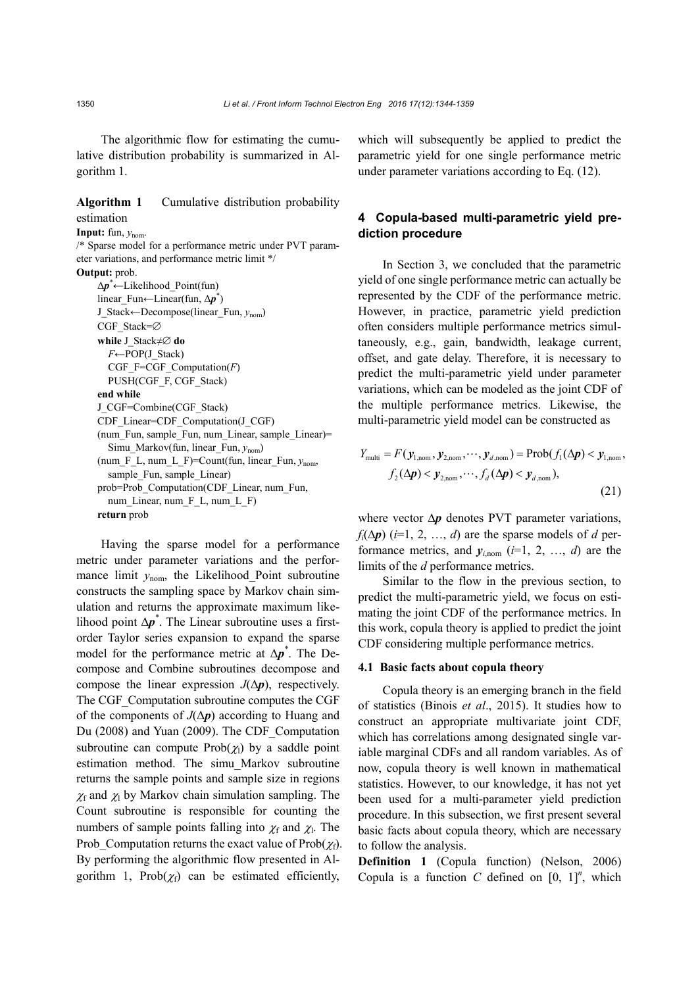The algorithmic flow for estimating the cumulative distribution probability is summarized in Algorithm 1.

**Algorithm 1** Cumulative distribution probability estimation

**Input:** fun,  $v_{\text{nom}}$ .

/\* Sparse model for a performance metric under PVT parameter variations, and performance metric limit \*/ **Output:** prob.

```
Δp*
←Likelihood_Point(fun)
linear_Fun←Linear(fun, Δp*
)
J_Stack←Decompose(linear_Fun, ynom)
CGF_Stack=∅
while J_Stack≠∅ do
   F←POP(J_Stack)
  CGF_F=CGF_Computation(F)
   PUSH(CGF_F, CGF_Stack)
end while
J_CGF=Combine(CGF_Stack)
CDF_Linear=CDF_Computation(J_CGF)
(num_Fun, sample_Fun, num_Linear, sample_Linear)=
  Simu_Markov(fun, linear_Fun, y<sub>nom</sub>)
(num F<sub>L</sub>, num<sub>L</sub>F)=Count(fun, linear<sub>Fun, y_{\text{nom}},</sub>
  sample Fun, sample Linear)
prob=Prob_Computation(CDF_Linear, num_Fun,
  num_Linear, num_F_L, num_L_F)
return prob
```
Having the sparse model for a performance metric under parameter variations and the performance limit  $y_{nom}$ , the Likelihood Point subroutine constructs the sampling space by Markov chain simulation and returns the approximate maximum likelihood point  $\Delta p^*$ . The Linear subroutine uses a firstorder Taylor series expansion to expand the sparse model for the performance metric at  $\Delta p^*$ . The Decompose and Combine subroutines decompose and compose the linear expression  $J(\Delta p)$ , respectively. The CGF\_Computation subroutine computes the CGF of the components of *J*(Δ*p*) according to Huang and Du (2008) and Yuan (2009). The CDF\_Computation subroutine can compute  $Prob(\chi_1)$  by a saddle point estimation method. The simu\_Markov subroutine returns the sample points and sample size in regions  $\chi_f$  and  $\chi_l$  by Markov chain simulation sampling. The Count subroutine is responsible for counting the numbers of sample points falling into  $\chi_f$  and  $\chi_l$ . The Prob Computation returns the exact value of Prob( $\chi_f$ ). By performing the algorithmic flow presented in Algorithm 1, Prob $(\chi_f)$  can be estimated efficiently,

which will subsequently be applied to predict the parametric yield for one single performance metric under parameter variations according to Eq. (12).

# **4 Copula-based multi-parametric yield prediction procedure**

In Section 3, we concluded that the parametric yield of one single performance metric can actually be represented by the CDF of the performance metric. However, in practice, parametric yield prediction often considers multiple performance metrics simultaneously, e.g., gain, bandwidth, leakage current, offset, and gate delay. Therefore, it is necessary to predict the multi-parametric yield under parameter variations, which can be modeled as the joint CDF of the multiple performance metrics. Likewise, the multi-parametric yield model can be constructed as

$$
Y_{\text{multi}} = F(\mathbf{y}_{1,\text{nom}}, \mathbf{y}_{2,\text{nom}}, \cdots, \mathbf{y}_{d,\text{nom}}) = \text{Prob}(f_1(\Delta \mathbf{p}) < \mathbf{y}_{1,\text{nom}}, \\
 f_2(\Delta \mathbf{p}) < \mathbf{y}_{2,\text{nom}}, \cdots, f_d(\Delta \mathbf{p}) < \mathbf{y}_{d,\text{nom}}),\n \tag{21}
$$

where vector Δ*p* denotes PVT parameter variations,  $f_i(\Delta p)$  (*i*=1, 2, …, *d*) are the sparse models of *d* performance metrics, and  $y_{i,\text{nom}}$  ( $i=1, 2, ..., d$ ) are the limits of the *d* performance metrics.

Similar to the flow in the previous section, to predict the multi-parametric yield, we focus on estimating the joint CDF of the performance metrics. In this work, copula theory is applied to predict the joint CDF considering multiple performance metrics.

#### **4.1 Basic facts about copula theory**

Copula theory is an emerging branch in the field of statistics (Binois *et al*., 2015). It studies how to construct an appropriate multivariate joint CDF, which has correlations among designated single variable marginal CDFs and all random variables. As of now, copula theory is well known in mathematical statistics. However, to our knowledge, it has not yet been used for a multi-parameter yield prediction procedure. In this subsection, we first present several basic facts about copula theory, which are necessary to follow the analysis.

**Definition 1** (Copula function) (Nelson, 2006) Copula is a function  $C$  defined on  $[0, 1]^n$ , which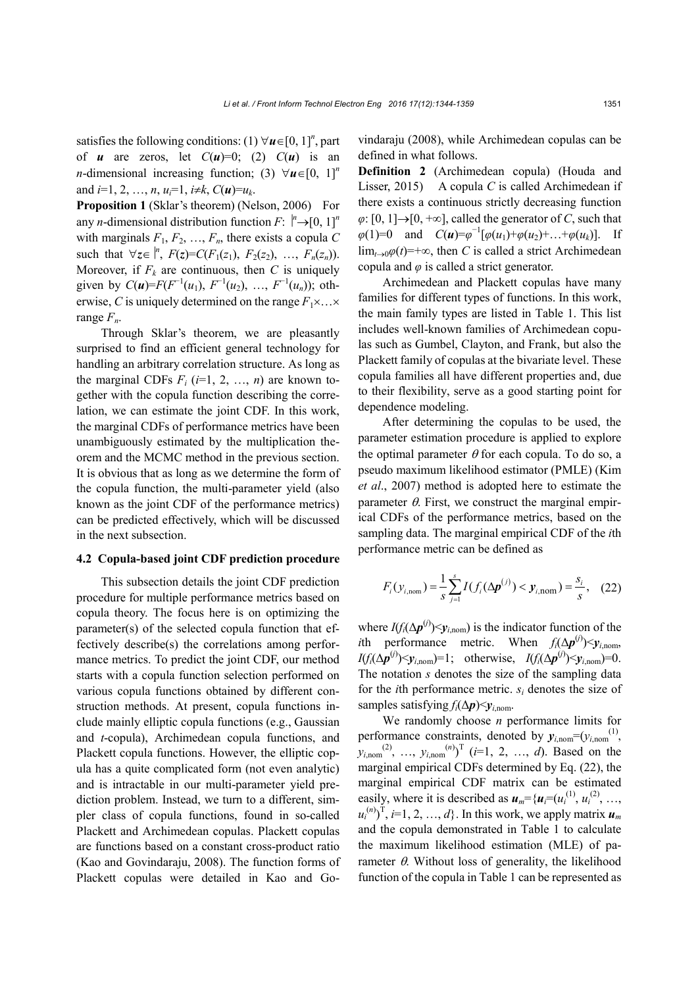satisfies the following conditions:  $(1) \forall u \in [0, 1]^n$ , part of *u* are zeros, let  $C(u)=0$ ; (2)  $C(u)$  is an *n*-dimensional increasing function; (3)  $\forall u \in [0, 1]^n$ and *i*=1, 2, ..., *n*, *u<sub>i</sub>*=1, *i* $\neq$ *k*, *C*(*u*)=*u<sub>k</sub>*.

**Proposition 1** (Sklar's theorem) (Nelson, 2006) For any *n*-dimensional distribution function *F*:  $\vert^n \rightarrow [0, 1]^n$ with marginals  $F_1, F_2, \ldots, F_n$ , there exists a copula C such that  $\forall z \in [n, F(z) = C(F_1(z_1), F_2(z_2), ..., F_n(z_n)).$ Moreover, if  $F_k$  are continuous, then C is uniquely given by  $C(u) = F(F^{-1}(u_1), F^{-1}(u_2), ..., F^{-1}(u_n))$ ; otherwise, *C* is uniquely determined on the range  $F_1 \times ... \times$ range  $F_n$ .

Through Sklar's theorem, we are pleasantly surprised to find an efficient general technology for handling an arbitrary correlation structure. As long as the marginal CDFs  $F_i$  ( $i=1, 2, ..., n$ ) are known together with the copula function describing the correlation, we can estimate the joint CDF. In this work, the marginal CDFs of performance metrics have been unambiguously estimated by the multiplication theorem and the MCMC method in the previous section. It is obvious that as long as we determine the form of the copula function, the multi-parameter yield (also known as the joint CDF of the performance metrics) can be predicted effectively, which will be discussed in the next subsection.

## **4.2 Copula-based joint CDF prediction procedure**

This subsection details the joint CDF prediction procedure for multiple performance metrics based on copula theory. The focus here is on optimizing the parameter(s) of the selected copula function that effectively describe(s) the correlations among performance metrics. To predict the joint CDF, our method starts with a copula function selection performed on various copula functions obtained by different construction methods. At present, copula functions include mainly elliptic copula functions (e.g., Gaussian and *t*-copula), Archimedean copula functions, and Plackett copula functions. However, the elliptic copula has a quite complicated form (not even analytic) and is intractable in our multi-parameter yield prediction problem. Instead, we turn to a different, simpler class of copula functions, found in so-called Plackett and Archimedean copulas. Plackett copulas are functions based on a constant cross-product ratio (Kao and Govindaraju, 2008). The function forms of Plackett copulas were detailed in Kao and Govindaraju (2008), while Archimedean copulas can be defined in what follows.

**Definition 2** (Archimedean copula) (Houda and Lisser, 2015) A copula *C* is called Archimedean if there exists a continuous strictly decreasing function  $\varphi$ : [0, 1] $\rightarrow$ [0, +∞], called the generator of *C*, such that  $\varphi(1)=0$  and  $C(u)=\varphi^{-1}[\varphi(u_1)+\varphi(u_2)+\ldots+\varphi(u_k)].$  If  $\lim_{t\to 0} \varphi(t) = +\infty$ , then *C* is called a strict Archimedean copula and *φ* is called a strict generator.

Archimedean and Plackett copulas have many families for different types of functions. In this work, the main family types are listed in Table 1. This list includes well-known families of Archimedean copulas such as Gumbel, Clayton, and Frank, but also the Plackett family of copulas at the bivariate level. These copula families all have different properties and, due to their flexibility, serve as a good starting point for dependence modeling.

After determining the copulas to be used, the parameter estimation procedure is applied to explore the optimal parameter  $\theta$  for each copula. To do so, a pseudo maximum likelihood estimator (PMLE) (Kim *et al*., 2007) method is adopted here to estimate the parameter  $\theta$ . First, we construct the marginal empirical CDFs of the performance metrics, based on the sampling data. The marginal empirical CDF of the *i*th performance metric can be defined as

$$
F_i(y_{i,\text{nom}}) = \frac{1}{s} \sum_{j=1}^s I(f_i(\Delta \mathbf{p}^{(j)}) < y_{i,\text{nom}}) = \frac{s_i}{s},\quad(22)
$$

where  $I(f_i(\Delta p^{(j)}) \leq y_{i,\text{nom}})$  is the indicator function of the *i*th performance metric. When  $f_i(\Delta p^{(j)}) \leq y_{i,\text{nom}}$ ,  $I(f_i(\Delta \mathbf{p}^{(j)}) \leq y_{i,\text{nom}}) = 1$ ; otherwise,  $I(f_i(\Delta \mathbf{p}^{(j)}) \leq y_{i,\text{nom}}) = 0$ . The notation *s* denotes the size of the sampling data for the *i*th performance metric. *si* denotes the size of samples satisfying  $f_i(\Delta p) \leq y_{i,\text{nom}}$ .

We randomly choose *n* performance limits for performance constraints, denoted by  $y_{i,\text{nom}} = (y_{i,\text{nom}}^{(1)},$  $y_{i,\text{nom}}^{(2)}$ , …,  $y_{i,\text{nom}}^{(n)}$ <sup>T</sup> (*i*=1, 2, …, *d*). Based on the marginal empirical CDFs determined by Eq. (22), the marginal empirical CDF matrix can be estimated easily, where it is described as  $u_m = \{u_i = (u_i^{(1)}, u_i^{(2)}, \dots,$  $(u_i^{(n)})^T$ , *i*=1, 2, ..., *d*}. In this work, we apply matrix  $u_m$ and the copula demonstrated in Table 1 to calculate the maximum likelihood estimation (MLE) of parameter  $\theta$ . Without loss of generality, the likelihood function of the copula in Table 1 can be represented as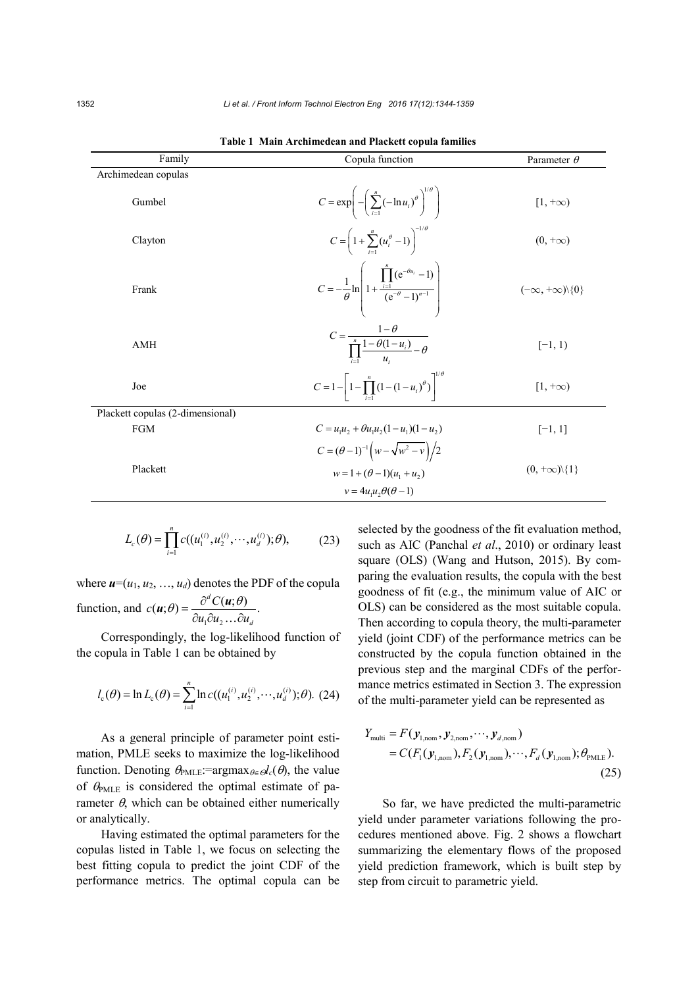| Family                           | Copula function                                                                                                      | Parameter $\theta$             |
|----------------------------------|----------------------------------------------------------------------------------------------------------------------|--------------------------------|
| Archimedean copulas              |                                                                                                                      |                                |
| Gumbel                           | $C = \exp\left(-\left(\sum_{i=1}^n (-\ln u_i)^{\theta}\right)^{1/\theta}\right)$                                     | $\left[1,+\infty\right)$       |
| Clayton                          | $C = \left(1 + \sum_{i=1}^{n} (u_i^{\theta} - 1)\right)^{-1/\theta}$                                                 | $(0, +\infty)$                 |
| Frank                            | $C = -\frac{1}{\theta} \ln \left[ 1 + \frac{\prod_{i=1}^{n} (e^{-\theta u_i} - 1)}{(e^{-\theta} - 1)^{n-1}} \right]$ | $(-\infty, +\infty)$ {0}       |
| AMH                              | $C = \frac{1-\sigma}{\prod_{i=1}^{n} \frac{1-\theta(1-u_i)}{u}-\theta}$                                              | $[-1, 1)$                      |
| Joe                              | $C = 1 - \left[1 - \prod_{i=1}^{n} (1 - (1 - u_i)^{\theta})\right]^{1/\theta}$                                       | $\left[1,+\infty\right)$       |
| Plackett copulas (2-dimensional) |                                                                                                                      |                                |
| <b>FGM</b>                       | $C = u_1u_1 + \theta u_1u_2(1-u_1)(1-u_2)$                                                                           | $[-1, 1]$                      |
| Plackett                         | $C = (\theta - 1)^{-1} \left( w - \sqrt{w^2 - v} \right) / 2$<br>$w=1+(\theta-1)(u_1+u_2)$                           | $(0, +\infty) \setminus \{1\}$ |
|                                  | $v = 4u_1u_2\theta(\theta-1)$                                                                                        |                                |

**Table 1 Main Archimedean and Plackett copula families**

$$
L_c(\theta) = \prod_{i=1}^n c((u_1^{(i)}, u_2^{(i)}, \cdots, u_d^{(i)}); \theta),
$$
 (23)

where  $u=(u_1, u_2, ..., u_d)$  denotes the PDF of the copula function, and  $1$ <sup> $\mu$ </sup>2  $(\boldsymbol{u};\theta) = \frac{\partial^d C(\boldsymbol{u};\theta)}{2\theta^2}$ . *d*  $c(\mathbf{u};\theta) = \frac{\partial^d C}{\partial \mathbf{v}^d}$  $u, \theta$  =  $\frac{\partial^d C(u;\theta)}{\partial u_1 \partial u_2 \dots \partial u_n}$ 

Correspondingly, the log-likelihood function of the copula in Table 1 can be obtained by

$$
l_{c}(\theta) = \ln L_{c}(\theta) = \sum_{i=1}^{n} \ln c((u_{1}^{(i)}, u_{2}^{(i)}, \cdots, u_{d}^{(i)}); \theta). (24)
$$

As a general principle of parameter point estimation, PMLE seeks to maximize the log-likelihood function. Denoting  $\theta_{\text{PMLE}}$ :=argmax $_{\theta \in \theta} l_c(\theta)$ , the value of  $\theta_{\text{PMLE}}$  is considered the optimal estimate of parameter  $\theta$ , which can be obtained either numerically or analytically.

Having estimated the optimal parameters for the copulas listed in Table 1, we focus on selecting the best fitting copula to predict the joint CDF of the performance metrics. The optimal copula can be selected by the goodness of the fit evaluation method, such as AIC (Panchal *et al*., 2010) or ordinary least square (OLS) (Wang and Hutson, 2015). By comparing the evaluation results, the copula with the best goodness of fit (e.g., the minimum value of AIC or OLS) can be considered as the most suitable copula. Then according to copula theory, the multi-parameter yield (joint CDF) of the performance metrics can be constructed by the copula function obtained in the previous step and the marginal CDFs of the performance metrics estimated in Section 3. The expression of the multi-parameter yield can be represented as

$$
Y_{\text{multi}} = F(\mathbf{y}_{1,\text{nom}}, \mathbf{y}_{2,\text{nom}}, \cdots, \mathbf{y}_{d,\text{nom}})
$$
  
=  $C(F_1(\mathbf{y}_{1,\text{nom}}), F_2(\mathbf{y}_{1,\text{nom}}), \cdots, F_d(\mathbf{y}_{1,\text{nom}}); \theta_{\text{PMLE}}).$  (25)

So far, we have predicted the multi-parametric yield under parameter variations following the procedures mentioned above. Fig. 2 shows a flowchart summarizing the elementary flows of the proposed yield prediction framework, which is built step by step from circuit to parametric yield.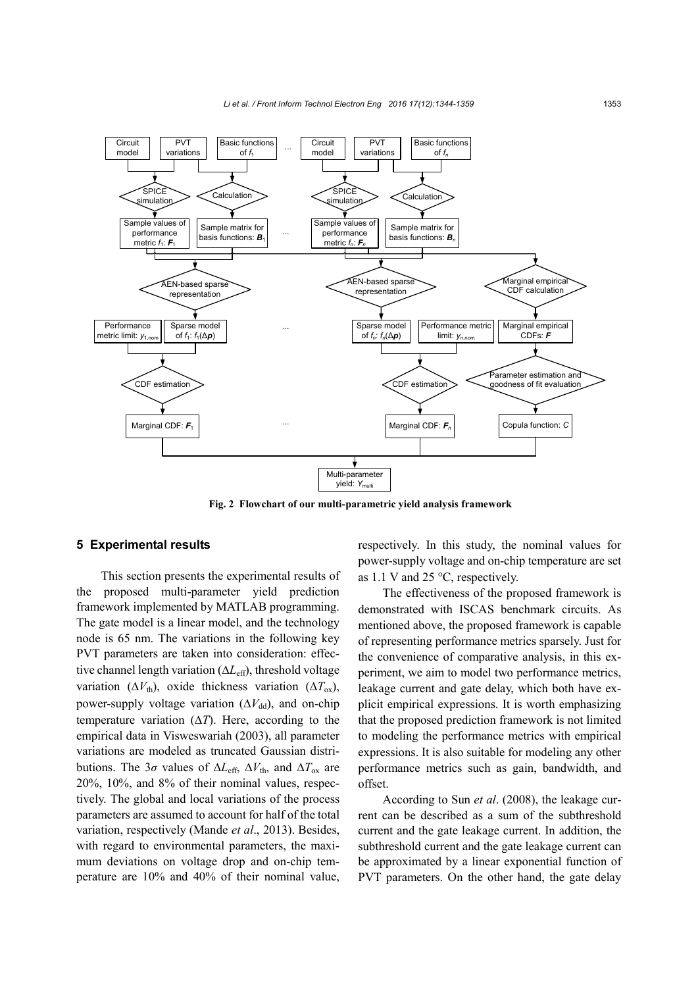

**Fig. 2 Flowchart of our multi-parametric yield analysis framework**

#### **5 Experimental results**

This section presents the experimental results of the proposed multi-parameter yield prediction framework implemented by MATLAB programming. The gate model is a linear model, and the technology node is 65 nm. The variations in the following key PVT parameters are taken into consideration: effective channel length variation (ΔL<sub>eff</sub>), threshold voltage variation ( $\Delta V_{th}$ ), oxide thickness variation ( $\Delta T_{ox}$ ), power-supply voltage variation (ΔV<sub>dd</sub>), and on-chip temperature variation (∆*T*). Here, according to the empirical data in Visweswariah (2003), all parameter variations are modeled as truncated Gaussian distributions. The 3*σ* values of  $\Delta L_{\text{eff}}$ ,  $\Delta V_{\text{th}}$ , and  $\Delta T_{\text{ox}}$  are 20%, 10%, and 8% of their nominal values, respectively. The global and local variations of the process parameters are assumed to account for half of the total variation, respectively (Mande *et al*., 2013). Besides, with regard to environmental parameters, the maximum deviations on voltage drop and on-chip temperature are 10% and 40% of their nominal value,

respectively. In this study, the nominal values for power-supply voltage and on-chip temperature are set as 1.1 V and 25 °C, respectively.

The effectiveness of the proposed framework is demonstrated with ISCAS benchmark circuits. As mentioned above, the proposed framework is capable of representing performance metrics sparsely. Just for the convenience of comparative analysis, in this experiment, we aim to model two performance metrics, leakage current and gate delay, which both have explicit empirical expressions. It is worth emphasizing that the proposed prediction framework is not limited to modeling the performance metrics with empirical expressions. It is also suitable for modeling any other performance metrics such as gain, bandwidth, and offset.

According to Sun *et al*. (2008), the leakage current can be described as a sum of the subthreshold current and the gate leakage current. In addition, the subthreshold current and the gate leakage current can be approximated by a linear exponential function of PVT parameters. On the other hand, the gate delay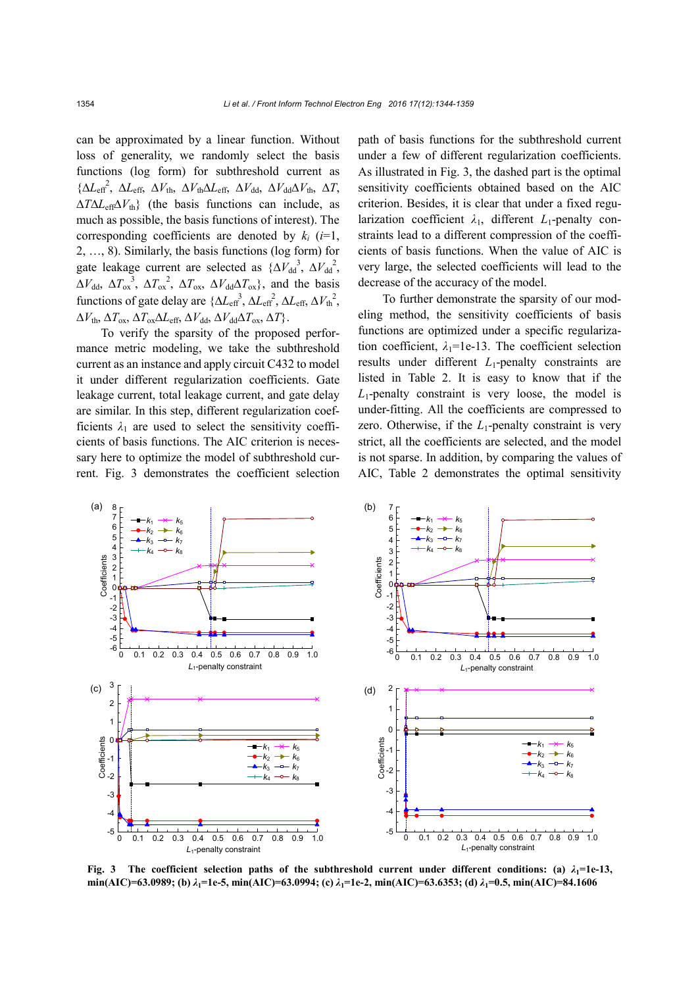can be approximated by a linear function. Without loss of generality, we randomly select the basis functions (log form) for subthreshold current as  $\{\Delta L_{\text{eff}}^2$ ,  $\Delta L_{\text{eff}}$ ,  $\Delta V_{\text{th}}$ ,  $\Delta V_{\text{th}}\Delta L_{\text{eff}}$ ,  $\Delta V_{\text{dd}}$ ,  $\Delta V_{\text{dd}}\Delta V_{\text{th}}$ ,  $\Delta T$ , ∆*T*∆*L*eff∆*V*th} (the basis functions can include, as much as possible, the basis functions of interest). The corresponding coefficients are denoted by  $k_i$  ( $i=1$ , 2, …, 8). Similarly, the basis functions (log form) for gate leakage current are selected as  $\{\Delta V_{dd}^3, \Delta V_{dd}^2,$  $\Delta V_{dd}$ ,  $\Delta T_{ox}^3$ ,  $\Delta T_{ox}^2$ ,  $\Delta T_{ox}$ ,  $\Delta V_{dd} \Delta T_{ox}$ }, and the basis functions of gate delay are  $\{\Delta L_{\text{eff}}^{3}, \Delta L_{\text{eff}}^{2}, \Delta L_{\text{eff}}^{2}, \Delta V_{\text{th}}^{2}, \Delta V_{\text{eff}}^{2}\}$  $\Delta V_{\text{th}}$ ,  $\Delta T_{\text{ox}}$ ,  $\Delta T_{\text{ox}}\Delta L_{\text{eff}}$ ,  $\Delta V_{\text{dd}}$ ,  $\Delta V_{\text{dd}}\Delta T_{\text{ox}}$ ,  $\Delta T$  }.

To verify the sparsity of the proposed performance metric modeling, we take the subthreshold current as an instance and apply circuit C432 to model it under different regularization coefficients. Gate leakage current, total leakage current, and gate delay are similar. In this step, different regularization coefficients  $\lambda_1$  are used to select the sensitivity coefficients of basis functions. The AIC criterion is necessary here to optimize the model of subthreshold current. Fig. 3 demonstrates the coefficient selection path of basis functions for the subthreshold current under a few of different regularization coefficients. As illustrated in Fig. 3, the dashed part is the optimal sensitivity coefficients obtained based on the AIC criterion. Besides, it is clear that under a fixed regularization coefficient  $\lambda_1$ , different  $L_1$ -penalty constraints lead to a different compression of the coefficients of basis functions. When the value of AIC is very large, the selected coefficients will lead to the decrease of the accuracy of the model.

To further demonstrate the sparsity of our modeling method, the sensitivity coefficients of basis functions are optimized under a specific regularization coefficient,  $\lambda_1$ =1e-13. The coefficient selection results under different *L*1-penalty constraints are listed in Table 2. It is easy to know that if the *L*1-penalty constraint is very loose, the model is under-fitting. All the coefficients are compressed to zero. Otherwise, if the  $L_1$ -penalty constraint is very strict, all the coefficients are selected, and the model is not sparse. In addition, by comparing the values of AIC, Table 2 demonstrates the optimal sensitivity



**Fig. 3** The coefficient selection paths of the subthreshold current under different conditions: (a)  $\lambda_1=1e-13$ , **min(AIC)=63.0989; (b)** *λ***1=1e-5, min(AIC)=63.0994; (c)** *λ***1=1e-2, min(AIC)=63.6353; (d)** *λ***1=0.5, min(AIC)=84.1606**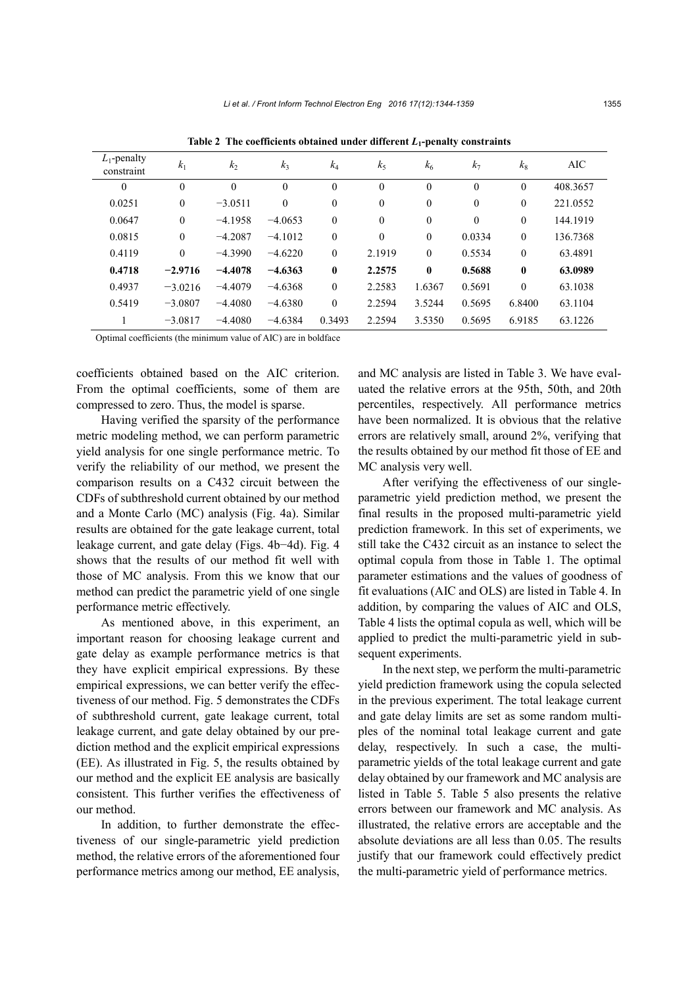| $L_1$ -penalty<br>constraint | $k_1$        | k <sub>2</sub> | $k_3$          | $k_4$        | $k_5$            | $k_6$          | k <sub>7</sub>   | $k_{8}$      | AIC      |
|------------------------------|--------------|----------------|----------------|--------------|------------------|----------------|------------------|--------------|----------|
| $\overline{0}$               | $\theta$     | $\theta$       | $\overline{0}$ | $\theta$     | $\mathbf{0}$     | $\overline{0}$ | $\theta$         | $\theta$     | 408.3657 |
| 0.0251                       | $\theta$     | $-3.0511$      | $\mathbf{0}$   | $\mathbf{0}$ | $\boldsymbol{0}$ | 0              | $\boldsymbol{0}$ | $\mathbf{0}$ | 221.0552 |
| 0.0647                       | $\theta$     | $-4.1958$      | $-4.0653$      | $\theta$     | $\mathbf{0}$     | 0              | $\theta$         | $\mathbf{0}$ | 144.1919 |
| 0.0815                       | $\mathbf{0}$ | $-4.2087$      | $-4.1012$      | $\mathbf{0}$ | $\mathbf{0}$     | 0              | 0.0334           | $\mathbf{0}$ | 136.7368 |
| 0.4119                       | $\theta$     | $-4.3990$      | $-4.6220$      | $\theta$     | 2.1919           | $\theta$       | 0.5534           | $\mathbf{0}$ | 63.4891  |
| 0.4718                       | $-2.9716$    | $-4.4078$      | $-4.6363$      | $\bf{0}$     | 2.2575           | $\bf{0}$       | 0.5688           | $\bf{0}$     | 63.0989  |
| 0.4937                       | $-3.0216$    | $-4.4079$      | $-4.6368$      | $\mathbf{0}$ | 2.2583           | 1.6367         | 0.5691           | $\theta$     | 63.1038  |
| 0.5419                       | $-3.0807$    | $-4.4080$      | $-4.6380$      | $\mathbf{0}$ | 2.2594           | 3.5244         | 0.5695           | 6.8400       | 63.1104  |
|                              | $-3.0817$    | $-4.4080$      | $-4.6384$      | 0.3493       | 2.2594           | 3.5350         | 0.5695           | 6.9185       | 63.1226  |

**Table 2 The coefficients obtained under different** *L***1-penalty constraints**

Optimal coefficients (the minimum value of AIC) are in boldface

coefficients obtained based on the AIC criterion. From the optimal coefficients, some of them are compressed to zero. Thus, the model is sparse.

Having verified the sparsity of the performance metric modeling method, we can perform parametric yield analysis for one single performance metric. To verify the reliability of our method, we present the comparison results on a C432 circuit between the CDFs of subthreshold current obtained by our method and a Monte Carlo (MC) analysis (Fig. 4a). Similar results are obtained for the gate leakage current, total leakage current, and gate delay (Figs. 4b−4d). Fig. 4 shows that the results of our method fit well with those of MC analysis. From this we know that our method can predict the parametric yield of one single performance metric effectively.

As mentioned above, in this experiment, an important reason for choosing leakage current and gate delay as example performance metrics is that they have explicit empirical expressions. By these empirical expressions, we can better verify the effectiveness of our method. Fig. 5 demonstrates the CDFs of subthreshold current, gate leakage current, total leakage current, and gate delay obtained by our prediction method and the explicit empirical expressions (EE). As illustrated in Fig. 5, the results obtained by our method and the explicit EE analysis are basically consistent. This further verifies the effectiveness of our method.

In addition, to further demonstrate the effectiveness of our single-parametric yield prediction method, the relative errors of the aforementioned four performance metrics among our method, EE analysis, and MC analysis are listed in Table 3. We have evaluated the relative errors at the 95th, 50th, and 20th percentiles, respectively. All performance metrics have been normalized. It is obvious that the relative errors are relatively small, around 2%, verifying that the results obtained by our method fit those of EE and MC analysis very well.

After verifying the effectiveness of our singleparametric yield prediction method, we present the final results in the proposed multi-parametric yield prediction framework. In this set of experiments, we still take the C432 circuit as an instance to select the optimal copula from those in Table 1. The optimal parameter estimations and the values of goodness of fit evaluations (AIC and OLS) are listed in Table 4. In addition, by comparing the values of AIC and OLS, Table 4 lists the optimal copula as well, which will be applied to predict the multi-parametric yield in subsequent experiments.

In the next step, we perform the multi-parametric yield prediction framework using the copula selected in the previous experiment. The total leakage current and gate delay limits are set as some random multiples of the nominal total leakage current and gate delay, respectively. In such a case, the multiparametric yields of the total leakage current and gate delay obtained by our framework and MC analysis are listed in Table 5. Table 5 also presents the relative errors between our framework and MC analysis. As illustrated, the relative errors are acceptable and the absolute deviations are all less than 0.05. The results justify that our framework could effectively predict the multi-parametric yield of performance metrics.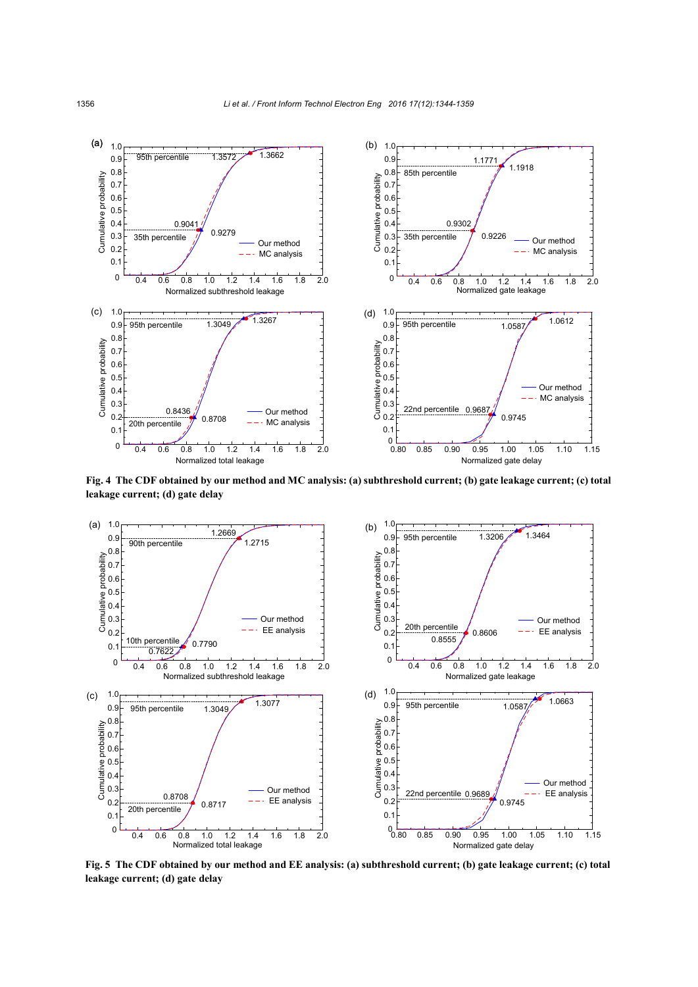

**Fig. 4 The CDF obtained by our method and MC analysis: (a) subthreshold current; (b) gate leakage current; (c) total leakage current; (d) gate delay**



**Fig. 5 The CDF obtained by our method and EE analysis: (a) subthreshold current; (b) gate leakage current; (c) total leakage current; (d) gate delay**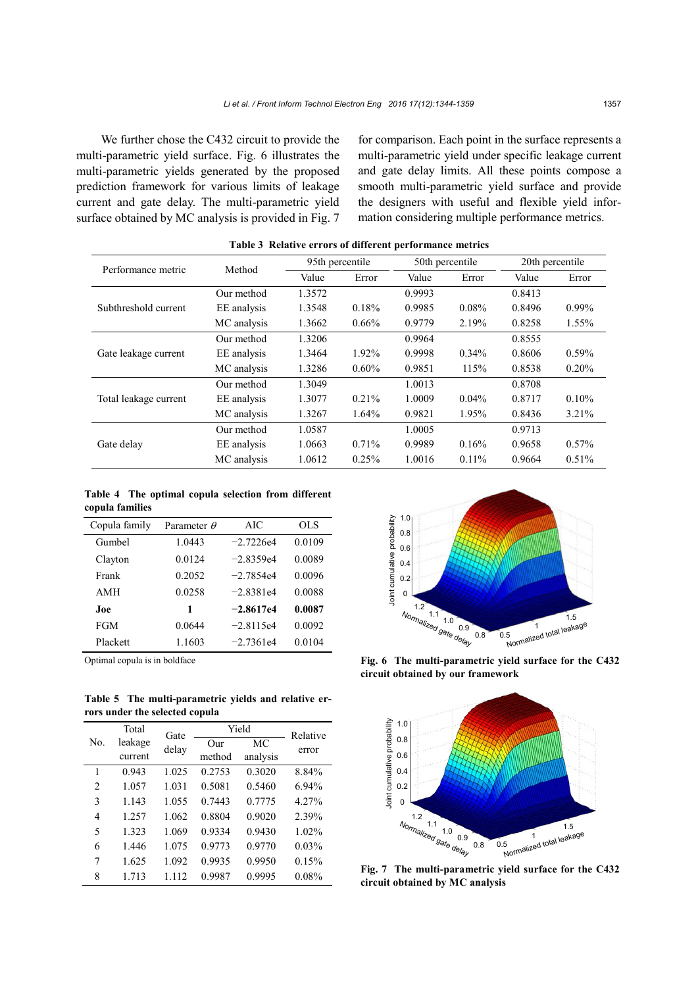We further chose the C432 circuit to provide the multi-parametric yield surface. Fig. 6 illustrates the multi-parametric yields generated by the proposed prediction framework for various limits of leakage current and gate delay. The multi-parametric yield surface obtained by MC analysis is provided in Fig. 7

for comparison. Each point in the surface represents a multi-parametric yield under specific leakage current and gate delay limits. All these points compose a smooth multi-parametric yield surface and provide the designers with useful and flexible yield information considering multiple performance metrics.

| Table 3 Relative errors of different performance metrics |             |        |                 |        |                 |                 |          |  |  |  |
|----------------------------------------------------------|-------------|--------|-----------------|--------|-----------------|-----------------|----------|--|--|--|
| Performance metric                                       | Method      |        | 95th percentile |        | 50th percentile | 20th percentile |          |  |  |  |
|                                                          |             | Value  | Error           | Value  | Error           | Value           | Error    |  |  |  |
|                                                          | Our method  | 1.3572 |                 | 0.9993 |                 | 0.8413          |          |  |  |  |
| Subthreshold current                                     | EE analysis | 1.3548 | 0.18%           | 0.9985 | 0.08%           | 0.8496          | $0.99\%$ |  |  |  |
|                                                          | MC analysis | 1.3662 | $0.66\%$        | 0.9779 | 2.19%           | 0.8258          | 1.55%    |  |  |  |
| Gate leakage current                                     | Our method  | 1.3206 |                 | 0.9964 |                 | 0.8555          |          |  |  |  |
|                                                          | EE analysis | 1.3464 | 1.92%           | 0.9998 | $0.34\%$        | 0.8606          | $0.59\%$ |  |  |  |
|                                                          | MC analysis | 1.3286 | $0.60\%$        | 0.9851 | 115%            | 0.8538          | 0.20%    |  |  |  |
|                                                          | Our method  | 1.3049 |                 | 1.0013 |                 | 0.8708          |          |  |  |  |
| Total leakage current                                    | EE analysis | 1.3077 | 0.21%           | 1.0009 | $0.04\%$        | 0.8717          | 0.10%    |  |  |  |
|                                                          | MC analysis | 1.3267 | 1.64%           | 0.9821 | 1.95%           | 0.8436          | 3.21%    |  |  |  |
|                                                          | Our method  | 1.0587 |                 | 1.0005 |                 | 0.9713          |          |  |  |  |
| Gate delay                                               | EE analysis | 1.0663 | 0.71%           | 0.9989 | 0.16%           | 0.9658          | $0.57\%$ |  |  |  |
|                                                          | MC analysis | 1.0612 | 0.25%           | 1.0016 | $0.11\%$        | 0.9664          | 0.51%    |  |  |  |

**Table 4 The optimal copula selection from different copula families**

| Copula family | Parameter $\theta$ | AIC         | OLS    |
|---------------|--------------------|-------------|--------|
| Gumbel        | 1 0443             | $-2.7226e4$ | 0.0109 |
| Clayton       | 0.0124             | $-2.8359e4$ | 0.0089 |
| Frank         | 0.2052             | $-2.7854e4$ | 0.0096 |
| AMH           | 0.0258             | $-2.8381e4$ | 0.0088 |
| Joe.          | 1                  | $-2.8617e4$ | 0.0087 |
| <b>FGM</b>    | 0.0644             | $-2.8115e4$ | 0.0092 |
| Plackett      | 1.1603             | $-2.7361e4$ | 0.0104 |

Optimal copula is in boldface

**Table 5 The multi-parametric yields and relative errors under the selected copula**

|                | Total   | Gate  | Yield  | Relative |          |  |
|----------------|---------|-------|--------|----------|----------|--|
| No.            | leakage | delay | Our    | MC       | error    |  |
|                | current |       | method | analysis |          |  |
| 1              | 0.943   | 1.025 | 0.2753 | 0.3020   | 8.84%    |  |
| $\overline{c}$ | 1.057   | 1.031 | 0.5081 | 0.5460   | 6.94%    |  |
| 3              | 1.143   | 1.055 | 0 7443 | 0.7775   | 4.27%    |  |
| 4              | 1.257   | 1.062 | 0.8804 | 0.9020   | 2.39%    |  |
| 5              | 1.323   | 1.069 | 0.9334 | 0.9430   | $1.02\%$ |  |
| 6              | 1.446   | 1.075 | 0.9773 | 0.9770   | 0.03%    |  |
| 7              | 1.625   | 1.092 | 0.9935 | 0.9950   | 0.15%    |  |
| 8              | 1.713   | 1.112 | 0.9987 | 0.9995   | 0.08%    |  |



**Fig. 6 The multi-parametric yield surface for the C432 circuit obtained by our framework**



**Fig. 7 The multi-parametric yield surface for the C432 circuit obtained by MC analysis**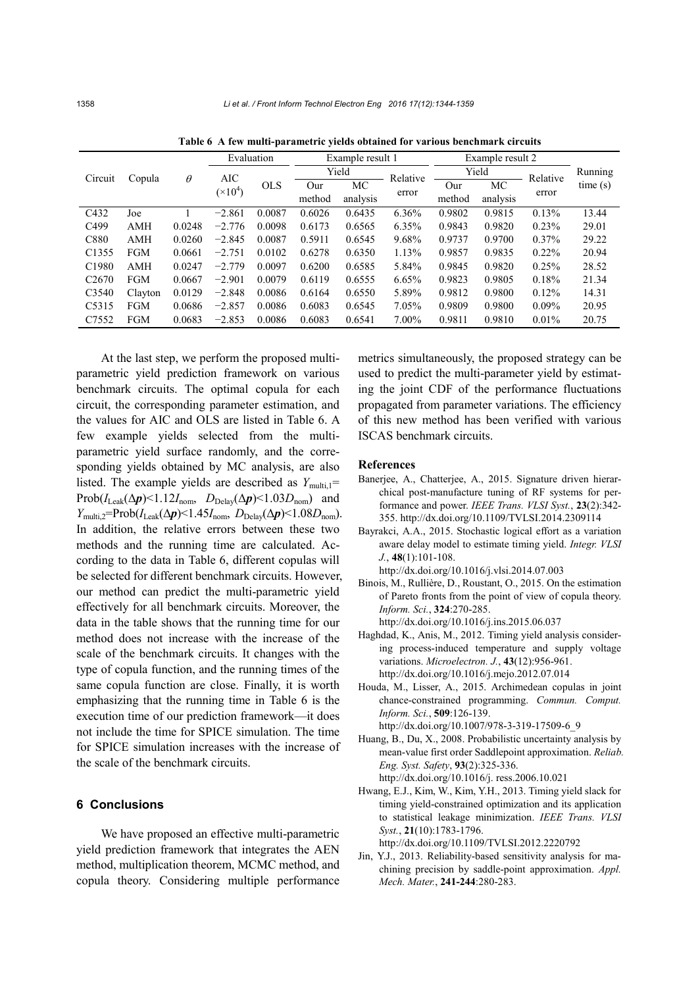|                   |            |                  |            |            | Example result 1<br>Evaluation |                   |           | Example result 2 |          |          |                    |
|-------------------|------------|------------------|------------|------------|--------------------------------|-------------------|-----------|------------------|----------|----------|--------------------|
| Circuit<br>Copula |            |                  |            | <b>AIC</b> |                                | Yield             |           | Yield            |          | Relative | Running<br>time(s) |
|                   | $\theta$   | $({\times}10^4)$ | <b>OLS</b> | Our        | MC                             | Relative<br>error | MC<br>Our |                  |          |          |                    |
|                   |            |                  |            |            | method                         | analysis          |           | method           | analysis | error    |                    |
| C <sub>4</sub> 32 | Joe        |                  | $-2.861$   | 0.0087     | 0.6026                         | 0.6435            | 6.36%     | 0.9802           | 0.9815   | 0.13%    | 13.44              |
| C <sub>499</sub>  | AMH        | 0.0248           | $-2.776$   | 0.0098     | 0.6173                         | 0.6565            | 6.35%     | 0.9843           | 0.9820   | 0.23%    | 29.01              |
| C880              | AMH        | 0.0260           | $-2.845$   | 0.0087     | 0.5911                         | 0.6545            | 9.68%     | 0.9737           | 0.9700   | 0.37%    | 29.22              |
| C <sub>1355</sub> | <b>FGM</b> | 0.0661           | $-2.751$   | 0.0102     | 0.6278                         | 0.6350            | 1.13%     | 0.9857           | 0.9835   | $0.22\%$ | 20.94              |
| C1980             | AMH        | 0.0247           | $-2.779$   | 0.0097     | 0.6200                         | 0.6585            | 5.84%     | 0.9845           | 0.9820   | 0.25%    | 28.52              |
| C <sub>2670</sub> | <b>FGM</b> | 0.0667           | $-2.901$   | 0.0079     | 0.6119                         | 0.6555            | 6.65%     | 0.9823           | 0.9805   | 0.18%    | 21.34              |
| C <sub>3540</sub> | Clayton    | 0.0129           | $-2.848$   | 0.0086     | 0.6164                         | 0.6550            | 5.89%     | 0.9812           | 0.9800   | 0.12%    | 14.31              |
| C5315             | <b>FGM</b> | 0.0686           | $-2.857$   | 0.0086     | 0.6083                         | 0.6545            | 7.05%     | 0.9809           | 0.9800   | $0.09\%$ | 20.95              |
| C7552             | <b>FGM</b> | 0.0683           | $-2.853$   | 0.0086     | 0.6083                         | 0.6541            | 7.00%     | 0.9811           | 0.9810   | 0.01%    | 20.75              |

**Table 6 A few multi-parametric yields obtained for various benchmark circuits**

At the last step, we perform the proposed multiparametric yield prediction framework on various benchmark circuits. The optimal copula for each circuit, the corresponding parameter estimation, and the values for AIC and OLS are listed in Table 6. A few example yields selected from the multiparametric yield surface randomly, and the corresponding yields obtained by MC analysis, are also listed. The example yields are described as  $Y_{multi}$ <sup>=</sup>  $Prob(I_{\text{Leak}}(\Delta p) \leq 1.12I_{\text{nom}}$ ,  $D_{\text{Delay}}(\Delta p) \leq 1.03D_{\text{nom}})$  and  $Y_{\text{multi},2}$ =Prob( $I_{\text{Leak}}(\Delta p)$ <1.45 $I_{\text{nom}}$ ,  $D_{\text{Delay}}(\Delta p)$ <1.08 $D_{\text{nom}}$ ). In addition, the relative errors between these two methods and the running time are calculated. According to the data in Table 6, different copulas will be selected for different benchmark circuits. However, our method can predict the multi-parametric yield effectively for all benchmark circuits. Moreover, the data in the table shows that the running time for our method does not increase with the increase of the scale of the benchmark circuits. It changes with the type of copula function, and the running times of the same copula function are close. Finally, it is worth emphasizing that the running time in Table 6 is the execution time of our prediction framework—it does not include the time for SPICE simulation. The time for SPICE simulation increases with the increase of the scale of the benchmark circuits.

## **6 Conclusions**

We have proposed an effective multi-parametric yield prediction framework that integrates the AEN method, multiplication theorem, MCMC method, and copula theory. Considering multiple performance metrics simultaneously, the proposed strategy can be used to predict the multi-parameter yield by estimating the joint CDF of the performance fluctuations propagated from parameter variations. The efficiency of this new method has been verified with various ISCAS benchmark circuits.

#### **References**

- Banerjee, A., Chatterjee, A., 2015. Signature driven hierarchical post-manufacture tuning of RF systems for performance and power. *IEEE Trans. VLSI Syst.*, **23**(2):342- 355. http://dx.doi.org/10.1109/TVLSI.2014.2309114
- Bayrakci, A.A., 2015. Stochastic logical effort as a variation aware delay model to estimate timing yield. *Integr. VLSI J.*, **48**(1):101-108.

http://dx.doi.org/10.1016/j.vlsi.2014.07.003

- Binois, M., Rullière, D., Roustant, O., 2015. On the estimation of Pareto fronts from the point of view of copula theory. *Inform. Sci.*, **324**:270-285. http://dx.doi.org/10.1016/j.ins.2015.06.037
- Haghdad, K., Anis, M., 2012. Timing yield analysis considering process-induced temperature and supply voltage variations. *Microelectron. J.*, **43**(12):956-961. http://dx.doi.org/10.1016/j.mejo.2012.07.014
- Houda, M., Lisser, A., 2015. Archimedean copulas in joint chance-constrained programming. *Commun. Comput. Inform. Sci.*, **509**:126-139.
- http://dx.doi.org/10.1007/978-3-319-17509-6\_9 Huang, B., Du, X., 2008. Probabilistic uncertainty analysis by
- mean-value first order Saddlepoint approximation. *Reliab. Eng. Syst. Safety*, **93**(2):325-336. http://dx.doi.org/10.1016/j. ress.2006.10.021
- Hwang, E.J., Kim, W., Kim, Y.H., 2013. Timing yield slack for timing yield-constrained optimization and its application to statistical leakage minimization. *IEEE Trans. VLSI Syst.*, **21**(10):1783-1796.

http://dx.doi.org/10.1109/TVLSI.2012.2220792

Jin, Y.J., 2013. Reliability-based sensitivity analysis for machining precision by saddle-point approximation. *Appl. Mech. Mater.*, **241-244**:280-283.